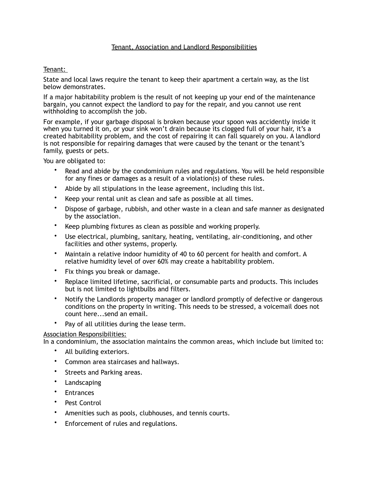## Tenant, Association and Landlord Responsibilities

## Tenant:

State and local laws require the tenant to keep their apartment a certain way, as the list below demonstrates.

If a major habitability problem is the result of not keeping up your end of the maintenance bargain, you cannot expect the landlord to pay for the repair, and you cannot use rent withholding to accomplish the job.

For example, if your garbage disposal is broken because your spoon was accidently inside it when you turned it on, or your sink won't drain because its clogged full of your hair, it's a created habitability problem, and the cost of repairing it can fall squarely on you. A landlord is not responsible for repairing damages that were caused by the tenant or the tenant's family, guests or pets.

You are obligated to:

- Read and abide by the condominium rules and regulations. You will be held responsible for any fines or damages as a result of a violation(s) of these rules.
- Abide by all stipulations in the lease agreement, including this list.
- Keep your rental unit as clean and safe as possible at all times.
- Dispose of garbage, rubbish, and other waste in a clean and safe manner as designated by the association.
- Keep plumbing fixtures as clean as possible and working properly.
- Use electrical, plumbing, sanitary, heating, ventilating, air-conditioning, and other facilities and other systems, properly.
- Maintain a relative indoor humidity of 40 to 60 percent for health and comfort. A relative humidity level of over 60% may create a habitability problem.
- Fix things you break or damage.
- Replace limited lifetime, sacrificial, or consumable parts and products. This includes but is not limited to lightbulbs and filters.
- Notify the Landlords property manager or landlord promptly of defective or dangerous conditions on the property in writing. This needs to be stressed, a voicemail does not count here...send an email.
- Pay of all utilities during the lease term.

## Association Responsibilities:

In a condominium, the association maintains the common areas, which include but limited to:

- All building exteriors.
- Common area staircases and hallways.
- Streets and Parking areas.
- Landscaping
- Entrances
- Pest Control
- Amenities such as pools, clubhouses, and tennis courts.
- Enforcement of rules and regulations.